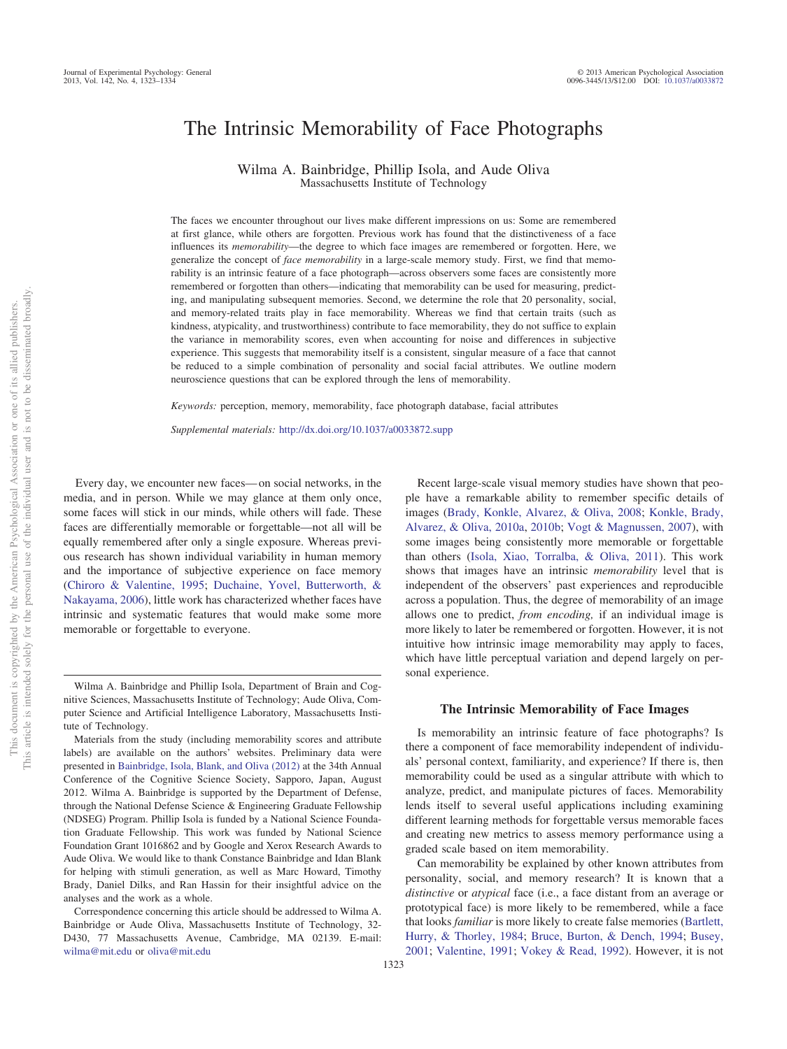# The Intrinsic Memorability of Face Photographs

Wilma A. Bainbridge, Phillip Isola, and Aude Oliva Massachusetts Institute of Technology

The faces we encounter throughout our lives make different impressions on us: Some are remembered at first glance, while others are forgotten. Previous work has found that the distinctiveness of a face influences its *memorability*—the degree to which face images are remembered or forgotten. Here, we generalize the concept of *face memorability* in a large-scale memory study. First, we find that memorability is an intrinsic feature of a face photograph—across observers some faces are consistently more remembered or forgotten than others—indicating that memorability can be used for measuring, predicting, and manipulating subsequent memories. Second, we determine the role that 20 personality, social, and memory-related traits play in face memorability. Whereas we find that certain traits (such as kindness, atypicality, and trustworthiness) contribute to face memorability, they do not suffice to explain the variance in memorability scores, even when accounting for noise and differences in subjective experience. This suggests that memorability itself is a consistent, singular measure of a face that cannot be reduced to a simple combination of personality and social facial attributes. We outline modern neuroscience questions that can be explored through the lens of memorability.

*Keywords:* perception, memory, memorability, face photograph database, facial attributes

*Supplemental materials:* http://dx.doi.org[/10.1037/a0033872.supp](http://dx.doi.org/10.1037/a0033872.supp)

Every day, we encounter new faces— on social networks, in the media, and in person. While we may glance at them only once, some faces will stick in our minds, while others will fade. These faces are differentially memorable or forgettable—not all will be equally remembered after only a single exposure. Whereas previous research has shown individual variability in human memory and the importance of subjective experience on face memory [\(Chiroro & Valentine, 1995;](#page-10-0) [Duchaine, Yovel, Butterworth, &](#page-10-1) [Nakayama, 2006\)](#page-10-1), little work has characterized whether faces have intrinsic and systematic features that would make some more memorable or forgettable to everyone.

Recent large-scale visual memory studies have shown that people have a remarkable ability to remember specific details of images [\(Brady, Konkle, Alvarez, & Oliva, 2008;](#page-10-2) [Konkle, Brady,](#page-10-3) [Alvarez, & Oliva, 2010a,](#page-10-3) [2010b;](#page-10-4) [Vogt & Magnussen, 2007\)](#page-11-0), with some images being consistently more memorable or forgettable than others [\(Isola, Xiao, Torralba, & Oliva, 2011\)](#page-10-5). This work shows that images have an intrinsic *memorability* level that is independent of the observers' past experiences and reproducible across a population. Thus, the degree of memorability of an image allows one to predict, *from encoding,* if an individual image is more likely to later be remembered or forgotten. However, it is not intuitive how intrinsic image memorability may apply to faces, which have little perceptual variation and depend largely on personal experience.

## **The Intrinsic Memorability of Face Images**

Is memorability an intrinsic feature of face photographs? Is there a component of face memorability independent of individuals' personal context, familiarity, and experience? If there is, then memorability could be used as a singular attribute with which to analyze, predict, and manipulate pictures of faces. Memorability lends itself to several useful applications including examining different learning methods for forgettable versus memorable faces and creating new metrics to assess memory performance using a graded scale based on item memorability.

Can memorability be explained by other known attributes from personality, social, and memory research? It is known that a *distinctive* or *atypical* face (i.e., a face distant from an average or prototypical face) is more likely to be remembered, while a face that looks *familiar* is more likely to create false memories [\(Bartlett,](#page-10-6) [Hurry, & Thorley, 1984;](#page-10-6) [Bruce, Burton, & Dench, 1994;](#page-10-7) [Busey,](#page-10-8) [2001;](#page-10-8) [Valentine, 1991;](#page-11-1) [Vokey & Read, 1992\)](#page-11-2). However, it is not

Wilma A. Bainbridge and Phillip Isola, Department of Brain and Cognitive Sciences, Massachusetts Institute of Technology; Aude Oliva, Computer Science and Artificial Intelligence Laboratory, Massachusetts Institute of Technology.

Materials from the study (including memorability scores and attribute labels) are available on the authors' websites. Preliminary data were presented in [Bainbridge, Isola, Blank, and Oliva \(2012\)](#page-10-9) at the 34th Annual Conference of the Cognitive Science Society, Sapporo, Japan, August 2012. Wilma A. Bainbridge is supported by the Department of Defense, through the National Defense Science & Engineering Graduate Fellowship (NDSEG) Program. Phillip Isola is funded by a National Science Foundation Graduate Fellowship. This work was funded by National Science Foundation Grant 1016862 and by Google and Xerox Research Awards to Aude Oliva. We would like to thank Constance Bainbridge and Idan Blank for helping with stimuli generation, as well as Marc Howard, Timothy Brady, Daniel Dilks, and Ran Hassin for their insightful advice on the analyses and the work as a whole.

Correspondence concerning this article should be addressed to Wilma A. Bainbridge or Aude Oliva, Massachusetts Institute of Technology, 32- D430, 77 Massachusetts Avenue, Cambridge, MA 02139. E-mail: [wilma@mit.edu](mailto:wilma@mit.edu) or [oliva@mit.edu](mailto:oliva@mit.edu)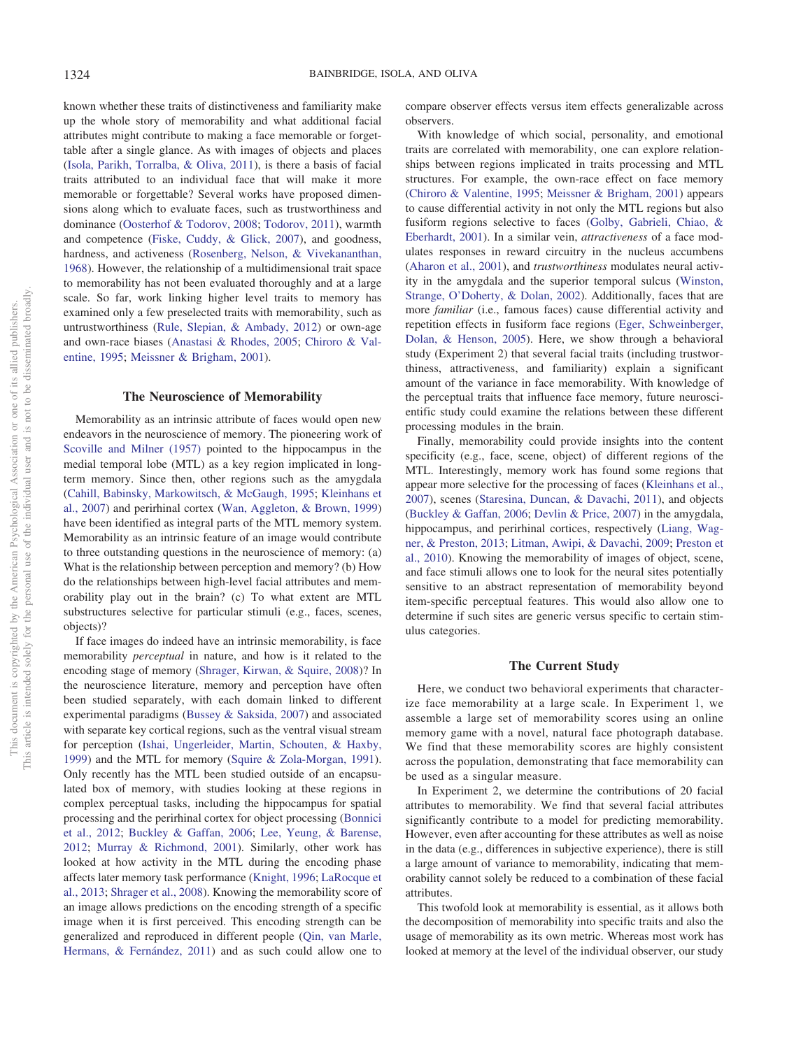known whether these traits of distinctiveness and familiarity make up the whole story of memorability and what additional facial attributes might contribute to making a face memorable or forgettable after a single glance. As with images of objects and places [\(Isola, Parikh, Torralba, & Oliva, 2011\)](#page-10-10), is there a basis of facial traits attributed to an individual face that will make it more memorable or forgettable? Several works have proposed dimensions along which to evaluate faces, such as trustworthiness and dominance [\(Oosterhof & Todorov, 2008;](#page-11-3) [Todorov, 2011\)](#page-11-4), warmth and competence [\(Fiske, Cuddy, & Glick, 2007\)](#page-10-11), and goodness, hardness, and activeness [\(Rosenberg, Nelson, & Vivekananthan,](#page-11-5) [1968\)](#page-11-5). However, the relationship of a multidimensional trait space to memorability has not been evaluated thoroughly and at a large scale. So far, work linking higher level traits to memory has examined only a few preselected traits with memorability, such as untrustworthiness [\(Rule, Slepian, & Ambady, 2012\)](#page-11-6) or own-age and own-race biases [\(Anastasi & Rhodes, 2005;](#page-9-0) [Chiroro & Val](#page-10-0)[entine, 1995;](#page-10-0) [Meissner & Brigham, 2001\)](#page-11-7).

#### **The Neuroscience of Memorability**

Memorability as an intrinsic attribute of faces would open new endeavors in the neuroscience of memory. The pioneering work of [Scoville and Milner \(1957\)](#page-11-8) pointed to the hippocampus in the medial temporal lobe (MTL) as a key region implicated in longterm memory. Since then, other regions such as the amygdala [\(Cahill, Babinsky, Markowitsch, & McGaugh, 1995;](#page-10-12) [Kleinhans et](#page-10-13) [al., 2007\)](#page-10-13) and perirhinal cortex [\(Wan, Aggleton, & Brown, 1999\)](#page-11-9) have been identified as integral parts of the MTL memory system. Memorability as an intrinsic feature of an image would contribute to three outstanding questions in the neuroscience of memory: (a) What is the relationship between perception and memory? (b) How do the relationships between high-level facial attributes and memorability play out in the brain? (c) To what extent are MTL substructures selective for particular stimuli (e.g., faces, scenes, objects)?

If face images do indeed have an intrinsic memorability, is face memorability *perceptual* in nature, and how is it related to the encoding stage of memory [\(Shrager, Kirwan, & Squire, 2008\)](#page-11-10)? In the neuroscience literature, memory and perception have often been studied separately, with each domain linked to different experimental paradigms [\(Bussey & Saksida, 2007\)](#page-10-14) and associated with separate key cortical regions, such as the ventral visual stream for perception [\(Ishai, Ungerleider, Martin, Schouten, & Haxby,](#page-10-15) [1999\)](#page-10-15) and the MTL for memory [\(Squire & Zola-Morgan, 1991\)](#page-11-11). Only recently has the MTL been studied outside of an encapsulated box of memory, with studies looking at these regions in complex perceptual tasks, including the hippocampus for spatial processing and the perirhinal cortex for object processing [\(Bonnici](#page-10-16) [et al., 2012;](#page-10-16) [Buckley & Gaffan, 2006;](#page-10-17) [Lee, Yeung, & Barense,](#page-11-12) [2012;](#page-11-12) [Murray & Richmond, 2001\)](#page-11-13). Similarly, other work has looked at how activity in the MTL during the encoding phase affects later memory task performance [\(Knight, 1996;](#page-10-18) [LaRocque et](#page-11-14) [al., 2013;](#page-11-14) [Shrager et al., 2008\)](#page-11-10). Knowing the memorability score of an image allows predictions on the encoding strength of a specific image when it is first perceived. This encoding strength can be generalized and reproduced in different people [\(Qin, van Marle,](#page-11-15) [Hermans, & Fernández, 2011\)](#page-11-15) and as such could allow one to

compare observer effects versus item effects generalizable across observers.

With knowledge of which social, personality, and emotional traits are correlated with memorability, one can explore relationships between regions implicated in traits processing and MTL structures. For example, the own-race effect on face memory [\(Chiroro & Valentine, 1995;](#page-10-0) [Meissner & Brigham, 2001\)](#page-11-7) appears to cause differential activity in not only the MTL regions but also fusiform regions selective to faces [\(Golby, Gabrieli, Chiao, &](#page-10-19) [Eberhardt, 2001\)](#page-10-19). In a similar vein, *attractiveness* of a face modulates responses in reward circuitry in the nucleus accumbens [\(Aharon et al., 2001\)](#page-9-1), and *trustworthiness* modulates neural activity in the amygdala and the superior temporal sulcus [\(Winston,](#page-11-16) [Strange, O'Doherty, & Dolan, 2002\)](#page-11-16). Additionally, faces that are more *familiar* (i.e., famous faces) cause differential activity and repetition effects in fusiform face regions [\(Eger, Schweinberger,](#page-10-20) [Dolan, & Henson, 2005\)](#page-10-20). Here, we show through a behavioral study (Experiment 2) that several facial traits (including trustworthiness, attractiveness, and familiarity) explain a significant amount of the variance in face memorability. With knowledge of the perceptual traits that influence face memory, future neuroscientific study could examine the relations between these different processing modules in the brain.

Finally, memorability could provide insights into the content specificity (e.g., face, scene, object) of different regions of the MTL. Interestingly, memory work has found some regions that appear more selective for the processing of faces [\(Kleinhans et al.,](#page-10-13) [2007\)](#page-10-13), scenes [\(Staresina, Duncan, & Davachi, 2011\)](#page-11-17), and objects [\(Buckley & Gaffan, 2006;](#page-10-17) [Devlin & Price, 2007\)](#page-10-21) in the amygdala, hippocampus, and perirhinal cortices, respectively [\(Liang, Wag](#page-11-18)[ner, & Preston, 2013;](#page-11-18) [Litman, Awipi, & Davachi, 2009;](#page-11-19) [Preston et](#page-11-20) [al., 2010\)](#page-11-20). Knowing the memorability of images of object, scene, and face stimuli allows one to look for the neural sites potentially sensitive to an abstract representation of memorability beyond item-specific perceptual features. This would also allow one to determine if such sites are generic versus specific to certain stimulus categories.

#### **The Current Study**

Here, we conduct two behavioral experiments that characterize face memorability at a large scale. In Experiment 1, we assemble a large set of memorability scores using an online memory game with a novel, natural face photograph database. We find that these memorability scores are highly consistent across the population, demonstrating that face memorability can be used as a singular measure.

In Experiment 2, we determine the contributions of 20 facial attributes to memorability. We find that several facial attributes significantly contribute to a model for predicting memorability. However, even after accounting for these attributes as well as noise in the data (e.g., differences in subjective experience), there is still a large amount of variance to memorability, indicating that memorability cannot solely be reduced to a combination of these facial attributes.

This twofold look at memorability is essential, as it allows both the decomposition of memorability into specific traits and also the usage of memorability as its own metric. Whereas most work has looked at memory at the level of the individual observer, our study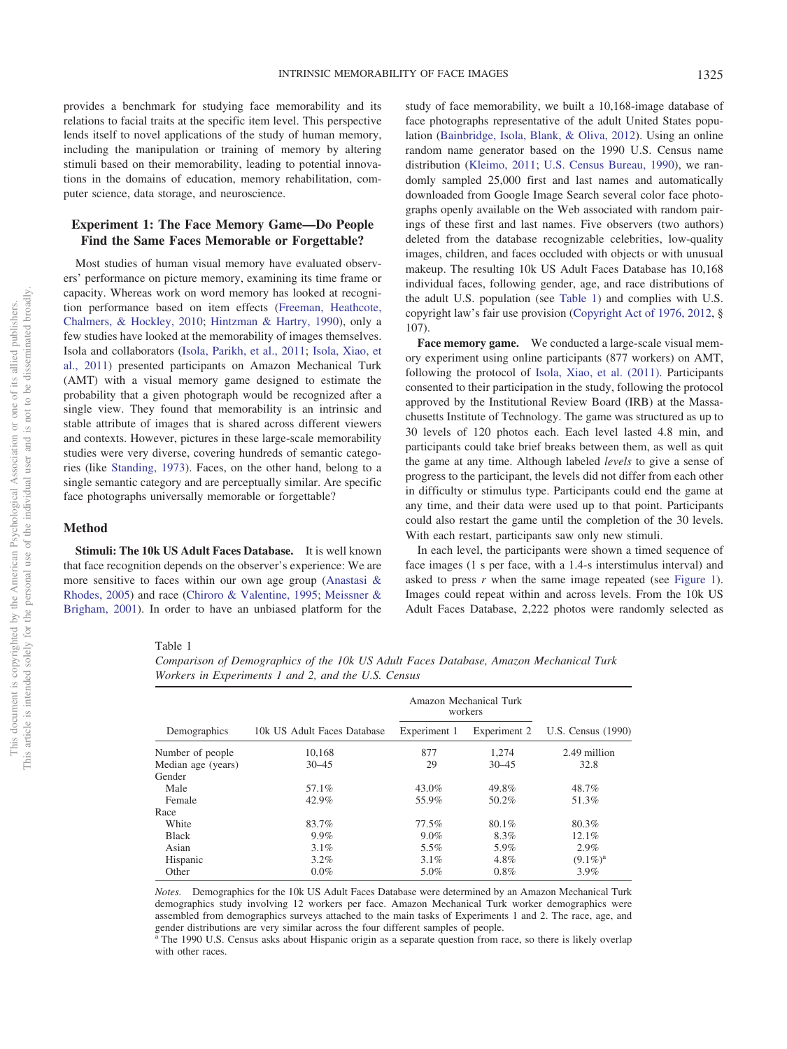provides a benchmark for studying face memorability and its relations to facial traits at the specific item level. This perspective lends itself to novel applications of the study of human memory, including the manipulation or training of memory by altering stimuli based on their memorability, leading to potential innovations in the domains of education, memory rehabilitation, computer science, data storage, and neuroscience.

# **Experiment 1: The Face Memory Game—Do People Find the Same Faces Memorable or Forgettable?**

Most studies of human visual memory have evaluated observers' performance on picture memory, examining its time frame or capacity. Whereas work on word memory has looked at recognition performance based on item effects [\(Freeman, Heathcote,](#page-10-22) [Chalmers, & Hockley, 2010;](#page-10-22) [Hintzman & Hartry, 1990\)](#page-10-23), only a few studies have looked at the memorability of images themselves. Isola and collaborators [\(Isola, Parikh, et al., 2011;](#page-10-10) [Isola, Xiao, et](#page-10-5) [al., 2011\)](#page-10-5) presented participants on Amazon Mechanical Turk (AMT) with a visual memory game designed to estimate the probability that a given photograph would be recognized after a single view. They found that memorability is an intrinsic and stable attribute of images that is shared across different viewers and contexts. However, pictures in these large-scale memorability studies were very diverse, covering hundreds of semantic categories (like [Standing, 1973\)](#page-11-21). Faces, on the other hand, belong to a single semantic category and are perceptually similar. Are specific face photographs universally memorable or forgettable?

## **Method**

**Stimuli: The 10k US Adult Faces Database.** It is well known that face recognition depends on the observer's experience: We are more sensitive to faces within our own age group [\(Anastasi &](#page-9-0) [Rhodes, 2005\)](#page-9-0) and race [\(Chiroro & Valentine, 1995;](#page-10-0) [Meissner &](#page-11-7) [Brigham, 2001\)](#page-11-7). In order to have an unbiased platform for the

study of face memorability, we built a 10,168-image database of face photographs representative of the adult United States population [\(Bainbridge, Isola, Blank, & Oliva, 2012\)](#page-10-9). Using an online random name generator based on the 1990 U.S. Census name distribution [\(Kleimo, 2011;](#page-10-24) [U.S. Census Bureau, 1990\)](#page-11-22), we randomly sampled 25,000 first and last names and automatically downloaded from Google Image Search several color face photographs openly available on the Web associated with random pairings of these first and last names. Five observers (two authors) deleted from the database recognizable celebrities, low-quality images, children, and faces occluded with objects or with unusual makeup. The resulting 10k US Adult Faces Database has 10,168 individual faces, following gender, age, and race distributions of the adult U.S. population (see [Table 1\)](#page-2-0) and complies with U.S. copyright law's fair use provision [\(Copyright Act of 1976, 2012,](#page-10-25) § 107).

**Face memory game.** We conducted a large-scale visual memory experiment using online participants (877 workers) on AMT, following the protocol of [Isola, Xiao, et al. \(2011\).](#page-10-5) Participants consented to their participation in the study, following the protocol approved by the Institutional Review Board (IRB) at the Massachusetts Institute of Technology. The game was structured as up to 30 levels of 120 photos each. Each level lasted 4.8 min, and participants could take brief breaks between them, as well as quit the game at any time. Although labeled *levels* to give a sense of progress to the participant, the levels did not differ from each other in difficulty or stimulus type. Participants could end the game at any time, and their data were used up to that point. Participants could also restart the game until the completion of the 30 levels. With each restart, participants saw only new stimuli.

In each level, the participants were shown a timed sequence of face images (1 s per face, with a 1.4-s interstimulus interval) and asked to press *r* when the same image repeated (see [Figure 1\)](#page-3-0). Images could repeat within and across levels. From the 10k US Adult Faces Database, 2,222 photos were randomly selected as

<span id="page-2-0"></span>Table 1

*Comparison of Demographics of the 10k US Adult Faces Database, Amazon Mechanical Turk Workers in Experiments 1 and 2, and the U.S. Census*

|                    |                             | Amazon Mechanical Turk<br>workers |              |                    |  |
|--------------------|-----------------------------|-----------------------------------|--------------|--------------------|--|
| Demographics       | 10k US Adult Faces Database | Experiment 1                      | Experiment 2 | U.S. Census (1990) |  |
| Number of people   | 10,168                      | 877                               | 1.274        | 2.49 million       |  |
| Median age (years) | $30 - 45$                   | 29                                | $30 - 45$    | 32.8               |  |
| Gender             |                             |                                   |              |                    |  |
| Male               | 57.1%                       | 43.0%                             | 49.8%        | 48.7%              |  |
| Female             | 42.9%                       | 55.9%                             | 50.2%        | 51.3%              |  |
| Race               |                             |                                   |              |                    |  |
| White              | 83.7%                       | 77.5%                             | 80.1%        | 80.3%              |  |
| <b>Black</b>       | 9.9%                        | $9.0\%$                           | 8.3%         | 12.1%              |  |
| Asian              | 3.1%                        | 5.5%                              | 5.9%         | 2.9%               |  |
| Hispanic           | $3.2\%$                     | 3.1%                              | 4.8%         | $(9.1\%)^a$        |  |
| Other              | $0.0\%$                     | 5.0%                              | 0.8%         | 3.9%               |  |

*Notes.* Demographics for the 10k US Adult Faces Database were determined by an Amazon Mechanical Turk demographics study involving 12 workers per face. Amazon Mechanical Turk worker demographics were assembled from demographics surveys attached to the main tasks of Experiments 1 and 2. The race, age, and gender distributions are very similar across the four different samples of people.

<sup>a</sup> The 1990 U.S. Census asks about Hispanic origin as a separate question from race, so there is likely overlap with other races.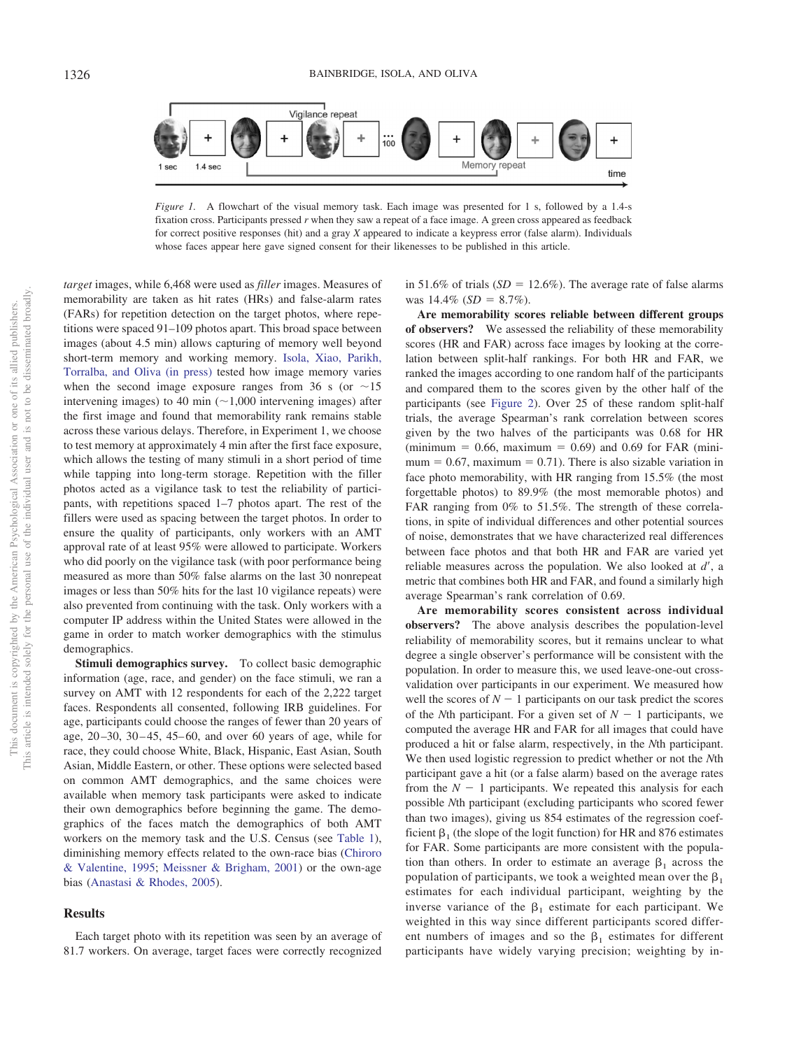

<span id="page-3-0"></span>*Figure 1.* A flowchart of the visual memory task. Each image was presented for 1 s, followed by a 1.4-s fixation cross. Participants pressed *r* when they saw a repeat of a face image. A green cross appeared as feedback for correct positive responses (hit) and a gray *X* appeared to indicate a keypress error (false alarm). Individuals whose faces appear here gave signed consent for their likenesses to be published in this article.

*target* images, while 6,468 were used as *filler* images. Measures of memorability are taken as hit rates (HRs) and false-alarm rates (FARs) for repetition detection on the target photos, where repetitions were spaced 91–109 photos apart. This broad space between images (about 4.5 min) allows capturing of memory well beyond short-term memory and working memory. [Isola, Xiao, Parikh,](#page-10-26) [Torralba, and Oliva \(in press\)](#page-10-26) tested how image memory varies when the second image exposure ranges from 36 s (or  $\sim$ 15 intervening images) to 40 min  $(\sim 1,000)$  intervening images) after the first image and found that memorability rank remains stable across these various delays. Therefore, in Experiment 1, we choose to test memory at approximately 4 min after the first face exposure, which allows the testing of many stimuli in a short period of time while tapping into long-term storage. Repetition with the filler photos acted as a vigilance task to test the reliability of participants, with repetitions spaced 1–7 photos apart. The rest of the fillers were used as spacing between the target photos. In order to ensure the quality of participants, only workers with an AMT approval rate of at least 95% were allowed to participate. Workers who did poorly on the vigilance task (with poor performance being measured as more than 50% false alarms on the last 30 nonrepeat images or less than 50% hits for the last 10 vigilance repeats) were also prevented from continuing with the task. Only workers with a computer IP address within the United States were allowed in the game in order to match worker demographics with the stimulus demographics.

**Stimuli demographics survey.** To collect basic demographic information (age, race, and gender) on the face stimuli, we ran a survey on AMT with 12 respondents for each of the 2,222 target faces. Respondents all consented, following IRB guidelines. For age, participants could choose the ranges of fewer than 20 years of age,  $20-30$ ,  $30-45$ ,  $45-60$ , and over 60 years of age, while for race, they could choose White, Black, Hispanic, East Asian, South Asian, Middle Eastern, or other. These options were selected based on common AMT demographics, and the same choices were available when memory task participants were asked to indicate their own demographics before beginning the game. The demographics of the faces match the demographics of both AMT workers on the memory task and the U.S. Census (see [Table 1\)](#page-2-0), diminishing memory effects related to the own-race bias [\(Chiroro](#page-10-0) [& Valentine, 1995;](#page-10-0) [Meissner & Brigham, 2001\)](#page-11-7) or the own-age bias [\(Anastasi & Rhodes, 2005\)](#page-9-0).

## **Results**

Each target photo with its repetition was seen by an average of 81.7 workers. On average, target faces were correctly recognized

in 51.6% of trials  $(SD = 12.6\%)$ . The average rate of false alarms was  $14.4\%$  (*SD* = 8.7%).

**Are memorability scores reliable between different groups of observers?** We assessed the reliability of these memorability scores (HR and FAR) across face images by looking at the correlation between split-half rankings. For both HR and FAR, we ranked the images according to one random half of the participants and compared them to the scores given by the other half of the participants (see [Figure 2\)](#page-4-0). Over 25 of these random split-half trials, the average Spearman's rank correlation between scores given by the two halves of the participants was 0.68 for HR  $(\text{minimum} = 0.66, \text{ maximum} = 0.69)$  and 0.69 for FAR  $(\text{mini}$  $mum = 0.67$ , maximum = 0.71). There is also sizable variation in face photo memorability, with HR ranging from 15.5% (the most forgettable photos) to 89.9% (the most memorable photos) and FAR ranging from 0% to 51.5%. The strength of these correlations, in spite of individual differences and other potential sources of noise, demonstrates that we have characterized real differences between face photos and that both HR and FAR are varied yet reliable measures across the population. We also looked at  $d'$ , a metric that combines both HR and FAR, and found a similarly high average Spearman's rank correlation of 0.69.

**Are memorability scores consistent across individual observers?** The above analysis describes the population-level reliability of memorability scores, but it remains unclear to what degree a single observer's performance will be consistent with the population. In order to measure this, we used leave-one-out crossvalidation over participants in our experiment. We measured how well the scores of  $N-1$  participants on our task predict the scores of the *N*th participant. For a given set of  $N - 1$  participants, we computed the average HR and FAR for all images that could have produced a hit or false alarm, respectively, in the *N*th participant. We then used logistic regression to predict whether or not the *N*th participant gave a hit (or a false alarm) based on the average rates from the  $N - 1$  participants. We repeated this analysis for each possible *N*th participant (excluding participants who scored fewer than two images), giving us 854 estimates of the regression coefficient  $\beta_1$  (the slope of the logit function) for HR and 876 estimates for FAR. Some participants are more consistent with the population than others. In order to estimate an average  $\beta_1$  across the population of participants, we took a weighted mean over the  $\beta_1$ estimates for each individual participant, weighting by the inverse variance of the  $\beta_1$  estimate for each participant. We weighted in this way since different participants scored different numbers of images and so the  $\beta_1$  estimates for different participants have widely varying precision; weighting by in-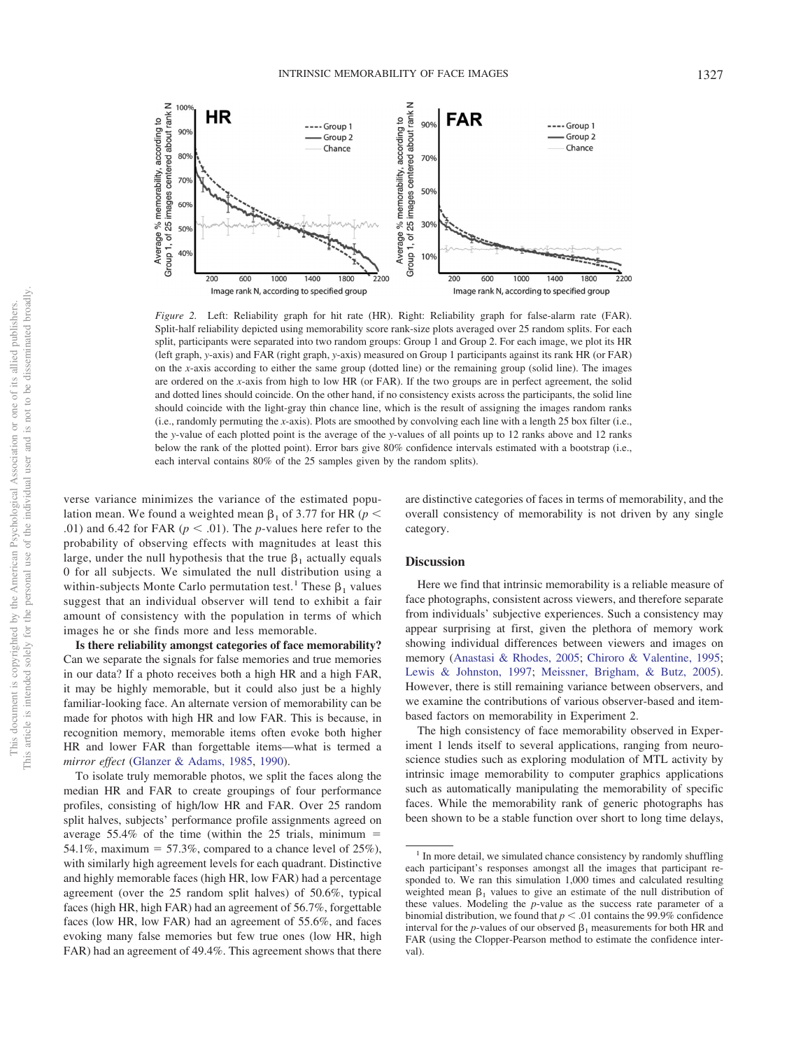

<span id="page-4-0"></span>*Figure 2.* Left: Reliability graph for hit rate (HR). Right: Reliability graph for false-alarm rate (FAR). Split-half reliability depicted using memorability score rank-size plots averaged over 25 random splits. For each split, participants were separated into two random groups: Group 1 and Group 2. For each image, we plot its HR (left graph, *y*-axis) and FAR (right graph, *y*-axis) measured on Group 1 participants against its rank HR (or FAR) on the *x*-axis according to either the same group (dotted line) or the remaining group (solid line). The images are ordered on the *x*-axis from high to low HR (or FAR). If the two groups are in perfect agreement, the solid and dotted lines should coincide. On the other hand, if no consistency exists across the participants, the solid line should coincide with the light-gray thin chance line, which is the result of assigning the images random ranks (i.e., randomly permuting the *x*-axis). Plots are smoothed by convolving each line with a length 25 box filter (i.e., the *y*-value of each plotted point is the average of the *y*-values of all points up to 12 ranks above and 12 ranks below the rank of the plotted point). Error bars give 80% confidence intervals estimated with a bootstrap (i.e., each interval contains 80% of the 25 samples given by the random splits).

verse variance minimizes the variance of the estimated population mean. We found a weighted mean  $\beta_1$  of 3.77 for HR ( $p <$ .01) and 6.42 for FAR ( $p < .01$ ). The *p*-values here refer to the probability of observing effects with magnitudes at least this large, under the null hypothesis that the true  $\beta_1$  actually equals 0 for all subjects. We simulated the null distribution using a within-subjects Monte Carlo permutation test.<sup>1</sup> These  $\beta_1$  values suggest that an individual observer will tend to exhibit a fair amount of consistency with the population in terms of which images he or she finds more and less memorable.

**Is there reliability amongst categories of face memorability?** Can we separate the signals for false memories and true memories in our data? If a photo receives both a high HR and a high FAR, it may be highly memorable, but it could also just be a highly familiar-looking face. An alternate version of memorability can be made for photos with high HR and low FAR. This is because, in recognition memory, memorable items often evoke both higher HR and lower FAR than forgettable items—what is termed a *mirror effect* [\(Glanzer & Adams, 1985,](#page-10-27) [1990\)](#page-10-28).

To isolate truly memorable photos, we split the faces along the median HR and FAR to create groupings of four performance profiles, consisting of high/low HR and FAR. Over 25 random split halves, subjects' performance profile assignments agreed on average  $55.4\%$  of the time (within the 25 trials, minimum = 54.1%, maximum = 57.3%, compared to a chance level of  $25\%$ ), with similarly high agreement levels for each quadrant. Distinctive and highly memorable faces (high HR, low FAR) had a percentage agreement (over the 25 random split halves) of 50.6%, typical faces (high HR, high FAR) had an agreement of 56.7%, forgettable faces (low HR, low FAR) had an agreement of 55.6%, and faces evoking many false memories but few true ones (low HR, high FAR) had an agreement of 49.4%. This agreement shows that there are distinctive categories of faces in terms of memorability, and the overall consistency of memorability is not driven by any single category.

#### **Discussion**

Here we find that intrinsic memorability is a reliable measure of face photographs, consistent across viewers, and therefore separate from individuals' subjective experiences. Such a consistency may appear surprising at first, given the plethora of memory work showing individual differences between viewers and images on memory [\(Anastasi & Rhodes, 2005;](#page-9-0) [Chiroro & Valentine, 1995;](#page-10-0) [Lewis & Johnston, 1997;](#page-11-23) [Meissner, Brigham, & Butz, 2005\)](#page-11-24). However, there is still remaining variance between observers, and we examine the contributions of various observer-based and itembased factors on memorability in Experiment 2.

The high consistency of face memorability observed in Experiment 1 lends itself to several applications, ranging from neuroscience studies such as exploring modulation of MTL activity by intrinsic image memorability to computer graphics applications such as automatically manipulating the memorability of specific faces. While the memorability rank of generic photographs has been shown to be a stable function over short to long time delays,

<sup>&</sup>lt;sup>1</sup> In more detail, we simulated chance consistency by randomly shuffling each participant's responses amongst all the images that participant responded to. We ran this simulation 1,000 times and calculated resulting weighted mean  $\beta_1$  values to give an estimate of the null distribution of these values. Modeling the *p*-value as the success rate parameter of a binomial distribution, we found that  $p < .01$  contains the 99.9% confidence interval for the *p*-values of our observed  $\beta_1$  measurements for both HR and FAR (using the Clopper-Pearson method to estimate the confidence interval)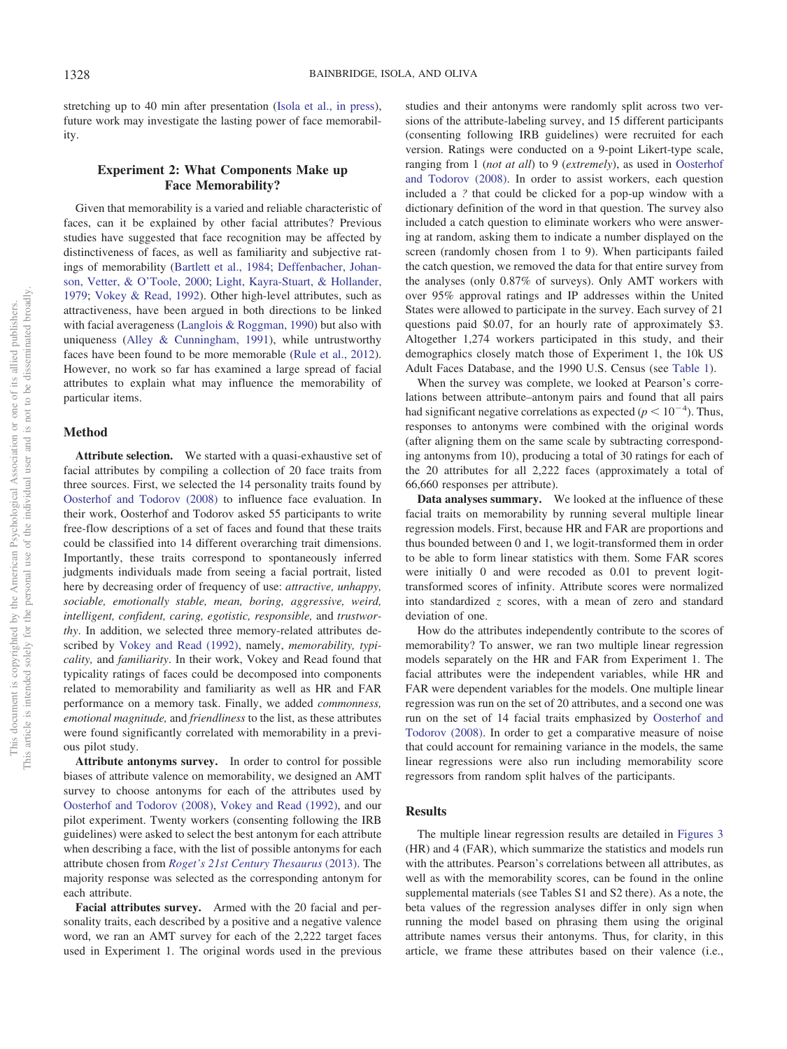stretching up to 40 min after presentation [\(Isola et al., in press\)](#page-10-26), future work may investigate the lasting power of face memorability.

## **Experiment 2: What Components Make up Face Memorability?**

Given that memorability is a varied and reliable characteristic of faces, can it be explained by other facial attributes? Previous studies have suggested that face recognition may be affected by distinctiveness of faces, as well as familiarity and subjective ratings of memorability [\(Bartlett et al., 1984;](#page-10-6) [Deffenbacher, Johan](#page-10-29)[son, Vetter, & O'Toole, 2000;](#page-10-29) [Light, Kayra-Stuart, & Hollander,](#page-11-25) [1979;](#page-11-25) [Vokey & Read, 1992\)](#page-11-2). Other high-level attributes, such as attractiveness, have been argued in both directions to be linked with facial averageness [\(Langlois & Roggman, 1990\)](#page-10-30) but also with uniqueness [\(Alley & Cunningham, 1991\)](#page-9-2), while untrustworthy faces have been found to be more memorable [\(Rule et al., 2012\)](#page-11-6). However, no work so far has examined a large spread of facial attributes to explain what may influence the memorability of particular items.

## **Method**

**Attribute selection.** We started with a quasi-exhaustive set of facial attributes by compiling a collection of 20 face traits from three sources. First, we selected the 14 personality traits found by [Oosterhof and Todorov \(2008\)](#page-11-3) to influence face evaluation. In their work, Oosterhof and Todorov asked 55 participants to write free-flow descriptions of a set of faces and found that these traits could be classified into 14 different overarching trait dimensions. Importantly, these traits correspond to spontaneously inferred judgments individuals made from seeing a facial portrait, listed here by decreasing order of frequency of use: *attractive, unhappy, sociable, emotionally stable, mean, boring, aggressive, weird, intelligent, confident, caring, egotistic, responsible,* and *trustworthy*. In addition, we selected three memory-related attributes described by [Vokey and Read \(1992\),](#page-11-2) namely, *memorability, typicality,* and *familiarity*. In their work, Vokey and Read found that typicality ratings of faces could be decomposed into components related to memorability and familiarity as well as HR and FAR performance on a memory task. Finally, we added *commonness, emotional magnitude,* and *friendliness* to the list, as these attributes were found significantly correlated with memorability in a previous pilot study.

**Attribute antonyms survey.** In order to control for possible biases of attribute valence on memorability, we designed an AMT survey to choose antonyms for each of the attributes used by [Oosterhof and Todorov \(2008\),](#page-11-3) [Vokey and Read \(1992\),](#page-11-2) and our pilot experiment. Twenty workers (consenting following the IRB guidelines) were asked to select the best antonym for each attribute when describing a face, with the list of possible antonyms for each attribute chosen from *[Roget's 21st Century Thesaurus](#page-11-26)* (2013). The majority response was selected as the corresponding antonym for each attribute.

**Facial attributes survey.** Armed with the 20 facial and personality traits, each described by a positive and a negative valence word, we ran an AMT survey for each of the 2,222 target faces used in Experiment 1. The original words used in the previous

studies and their antonyms were randomly split across two versions of the attribute-labeling survey, and 15 different participants (consenting following IRB guidelines) were recruited for each version. Ratings were conducted on a 9-point Likert-type scale, ranging from 1 (*not at all*) to 9 (*extremely*), as used in [Oosterhof](#page-11-3) [and Todorov \(2008\).](#page-11-3) In order to assist workers, each question included a *?* that could be clicked for a pop-up window with a dictionary definition of the word in that question. The survey also included a catch question to eliminate workers who were answering at random, asking them to indicate a number displayed on the screen (randomly chosen from 1 to 9). When participants failed the catch question, we removed the data for that entire survey from the analyses (only 0.87% of surveys). Only AMT workers with over 95% approval ratings and IP addresses within the United States were allowed to participate in the survey. Each survey of 21 questions paid \$0.07, for an hourly rate of approximately \$3. Altogether 1,274 workers participated in this study, and their demographics closely match those of Experiment 1, the 10k US Adult Faces Database, and the 1990 U.S. Census (see [Table 1\)](#page-2-0).

When the survey was complete, we looked at Pearson's correlations between attribute–antonym pairs and found that all pairs had significant negative correlations as expected  $(p < 10^{-4})$ . Thus, responses to antonyms were combined with the original words (after aligning them on the same scale by subtracting corresponding antonyms from 10), producing a total of 30 ratings for each of the 20 attributes for all 2,222 faces (approximately a total of 66,660 responses per attribute).

**Data analyses summary.** We looked at the influence of these facial traits on memorability by running several multiple linear regression models. First, because HR and FAR are proportions and thus bounded between 0 and 1, we logit-transformed them in order to be able to form linear statistics with them. Some FAR scores were initially 0 and were recoded as 0.01 to prevent logittransformed scores of infinity. Attribute scores were normalized into standardized *z* scores, with a mean of zero and standard deviation of one.

How do the attributes independently contribute to the scores of memorability? To answer, we ran two multiple linear regression models separately on the HR and FAR from Experiment 1. The facial attributes were the independent variables, while HR and FAR were dependent variables for the models. One multiple linear regression was run on the set of 20 attributes, and a second one was run on the set of 14 facial traits emphasized by [Oosterhof and](#page-11-3) [Todorov \(2008\).](#page-11-3) In order to get a comparative measure of noise that could account for remaining variance in the models, the same linear regressions were also run including memorability score regressors from random split halves of the participants.

## **Results**

The multiple linear regression results are detailed in [Figures 3](#page-6-0) (HR) and 4 (FAR), which summarize the statistics and models run with the attributes. Pearson's correlations between all attributes, as well as with the memorability scores, can be found in the online supplemental materials (see Tables S1 and S2 there). As a note, the beta values of the regression analyses differ in only sign when running the model based on phrasing them using the original attribute names versus their antonyms. Thus, for clarity, in this article, we frame these attributes based on their valence (i.e.,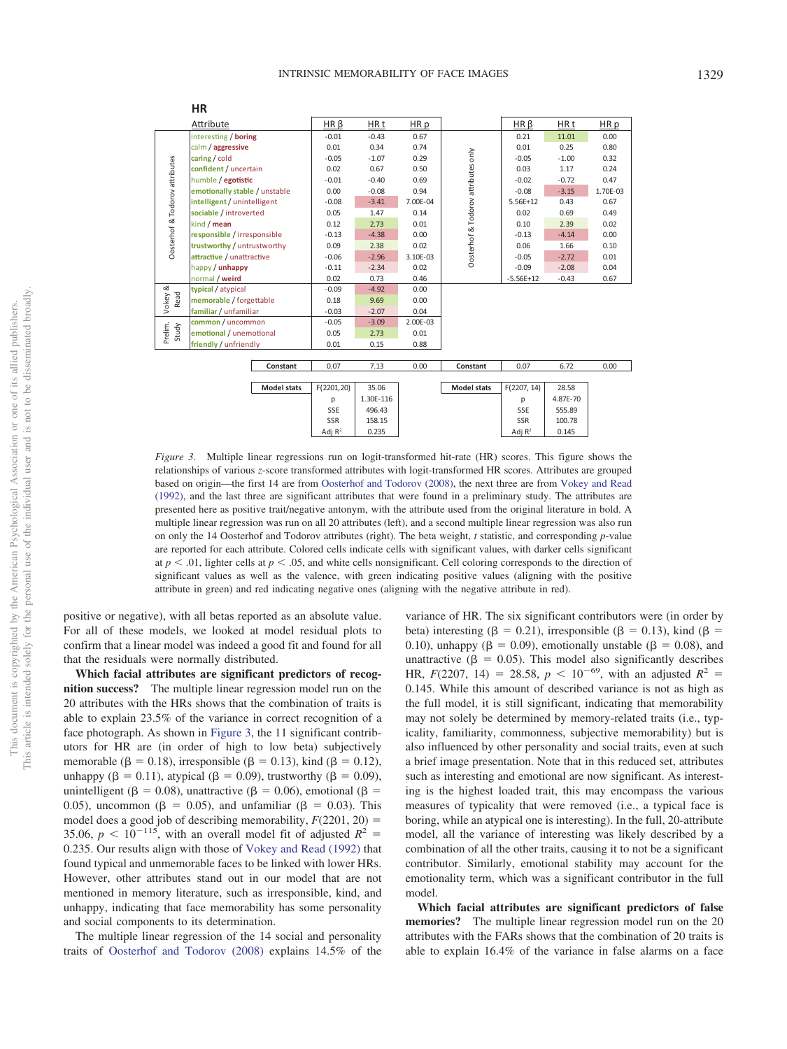|                                | HR                            |                 |           |          |                                     |                 |          |          |
|--------------------------------|-------------------------------|-----------------|-----------|----------|-------------------------------------|-----------------|----------|----------|
|                                | Attribute                     | $HR\beta$       | HR t      | HR p     |                                     | $HR\beta$       | HR t     | HR p     |
| Oosterhof & Todorov attributes | interesting / boring          | $-0.01$         | $-0.43$   | 0.67     |                                     | 0.21            | 11.01    | 0.00     |
|                                | calm / aggressive             | 0.01            | 0.34      | 0.74     | Dosterhof & Todorov attributes only | 0.01            | 0.25     | 0.80     |
|                                | caring / cold                 | $-0.05$         | $-1.07$   | 0.29     |                                     | $-0.05$         | $-1.00$  | 0.32     |
|                                | confident / uncertain         | 0.02            | 0.67      | 0.50     |                                     | 0.03            | 1.17     | 0.24     |
|                                | humble / egotistic            | $-0.01$         | $-0.40$   | 0.69     |                                     | $-0.02$         | $-0.72$  | 0.47     |
|                                | emotionally stable / unstable | 0.00            | $-0.08$   | 0.94     |                                     | $-0.08$         | $-3.15$  | 1.70E-03 |
|                                | intelligent / unintelligent   | $-0.08$         | $-3.41$   | 7.00E-04 |                                     | 5.56E+12        | 0.43     | 0.67     |
|                                | sociable / introverted        | 0.05            | 1.47      | 0.14     |                                     | 0.02            | 0.69     | 0.49     |
|                                | kind / mean                   | 0.12            | 2.73      | 0.01     | 0.10                                |                 | 2.39     | 0.02     |
|                                | responsible / irresponsible   | $-0.13$         | $-4.38$   | 0.00     |                                     | $-0.13$         | $-4.14$  | 0.00     |
|                                | trustworthy / untrustworthy   | 0.09            | 2.38      | 0.02     | 0.06<br>$-0.05$<br>$-0.09$          |                 | 1.66     | 0.10     |
|                                | attractive / unattractive     | $-0.06$         | $-2.96$   | 3.10E-03 |                                     |                 | $-2.72$  | 0.01     |
|                                | happy / unhappy               | $-0.11$         | $-2.34$   | 0.02     |                                     |                 | $-2.08$  | 0.04     |
|                                | normal / weird                | 0.02            | 0.73      | 0.46     |                                     | $-5.56E+12$     | $-0.43$  | 0.67     |
| Vokey &                        | typical / atypical            | $-0.09$         | $-4.92$   | 0.00     |                                     |                 |          |          |
| Read                           | memorable / forgettable       | 0.18            | 9.69      | 0.00     |                                     |                 |          |          |
|                                | familiar / unfamiliar         | $-0.03$         | $-2.07$   | 0.04     |                                     |                 |          |          |
|                                | common / uncommon             | $-0.05$         | $-3.09$   | 2.00E-03 |                                     |                 |          |          |
| Prelim.<br>Study               | emotional / unemotional       | 0.05            | 2.73      | 0.01     |                                     |                 |          |          |
|                                | friendly / unfriendly         | 0.01            | 0.15      | 0.88     |                                     |                 |          |          |
|                                |                               |                 |           |          |                                     |                 |          |          |
|                                | Constant                      | 0.07            | 7.13      | 0.00     | Constant                            | 0.07            | 6.72     | 0.00     |
|                                | <b>Model stats</b>            | F(2201,20)      | 35.06     |          | <b>Model stats</b>                  | F(2207, 14)     | 28.58    |          |
|                                |                               |                 | 1.30E-116 |          |                                     |                 | 4.87E-70 |          |
|                                |                               | р<br><b>SSE</b> | 496.43    |          |                                     | p<br><b>SSE</b> | 555.89   |          |
|                                |                               | <b>SSR</b>      | 158.15    |          |                                     | <b>SSR</b>      | 100.78   |          |
|                                |                               | Adj $R^2$       |           |          |                                     |                 |          |          |
|                                |                               |                 | 0.235     |          |                                     | Adj $R^2$       | 0.145    |          |

<span id="page-6-0"></span>*Figure 3.* Multiple linear regressions run on logit-transformed hit-rate (HR) scores. This figure shows the relationships of various *z*-score transformed attributes with logit-transformed HR scores. Attributes are grouped based on origin—the first 14 are from [Oosterhof and Todorov \(2008\),](#page-11-3) the next three are from [Vokey and Read](#page-11-2) [\(1992\),](#page-11-2) and the last three are significant attributes that were found in a preliminary study. The attributes are presented here as positive trait/negative antonym, with the attribute used from the original literature in bold. A multiple linear regression was run on all 20 attributes (left), and a second multiple linear regression was also run on only the 14 Oosterhof and Todorov attributes (right). The beta weight, *t* statistic, and corresponding *p*-value are reported for each attribute. Colored cells indicate cells with significant values, with darker cells significant at  $p < .01$ , lighter cells at  $p < .05$ , and white cells nonsignificant. Cell coloring corresponds to the direction of significant values as well as the valence, with green indicating positive values (aligning with the positive attribute in green) and red indicating negative ones (aligning with the negative attribute in red).

positive or negative), with all betas reported as an absolute value. For all of these models, we looked at model residual plots to confirm that a linear model was indeed a good fit and found for all that the residuals were normally distributed.

**Which facial attributes are significant predictors of recognition success?** The multiple linear regression model run on the 20 attributes with the HRs shows that the combination of traits is able to explain 23.5% of the variance in correct recognition of a face photograph. As shown in [Figure 3,](#page-6-0) the 11 significant contributors for HR are (in order of high to low beta) subjectively memorable ( $\beta = 0.18$ ), irresponsible ( $\beta = 0.13$ ), kind ( $\beta = 0.12$ ), unhappy ( $\beta = 0.11$ ), atypical ( $\beta = 0.09$ ), trustworthy ( $\beta = 0.09$ ), unintelligent ( $\beta = 0.08$ ), unattractive ( $\beta = 0.06$ ), emotional ( $\beta =$ 0.05), uncommon ( $\beta = 0.05$ ), and unfamiliar ( $\beta = 0.03$ ). This model does a good job of describing memorability,  $F(2201, 20) =$ 35.06,  $p < 10^{-115}$ , with an overall model fit of adjusted  $R^2 =$ 0.235. Our results align with those of [Vokey and Read \(1992\)](#page-11-2) that found typical and unmemorable faces to be linked with lower HRs. However, other attributes stand out in our model that are not mentioned in memory literature, such as irresponsible, kind, and unhappy, indicating that face memorability has some personality and social components to its determination.

The multiple linear regression of the 14 social and personality traits of [Oosterhof and Todorov \(2008\)](#page-11-3) explains 14.5% of the

variance of HR. The six significant contributors were (in order by beta) interesting ( $\beta = 0.21$ ), irresponsible ( $\beta = 0.13$ ), kind ( $\beta =$ 0.10), unhappy ( $\beta = 0.09$ ), emotionally unstable ( $\beta = 0.08$ ), and unattractive ( $\beta = 0.05$ ). This model also significantly describes HR,  $F(2207, 14) = 28.58, p < 10^{-69}$ , with an adjusted  $R^2 =$ 0.145. While this amount of described variance is not as high as the full model, it is still significant, indicating that memorability may not solely be determined by memory-related traits (i.e., typicality, familiarity, commonness, subjective memorability) but is also influenced by other personality and social traits, even at such a brief image presentation. Note that in this reduced set, attributes such as interesting and emotional are now significant. As interesting is the highest loaded trait, this may encompass the various measures of typicality that were removed (i.e., a typical face is boring, while an atypical one is interesting). In the full, 20-attribute model, all the variance of interesting was likely described by a combination of all the other traits, causing it to not be a significant contributor. Similarly, emotional stability may account for the emotionality term, which was a significant contributor in the full model.

**Which facial attributes are significant predictors of false memories?** The multiple linear regression model run on the 20 attributes with the FARs shows that the combination of 20 traits is able to explain 16.4% of the variance in false alarms on a face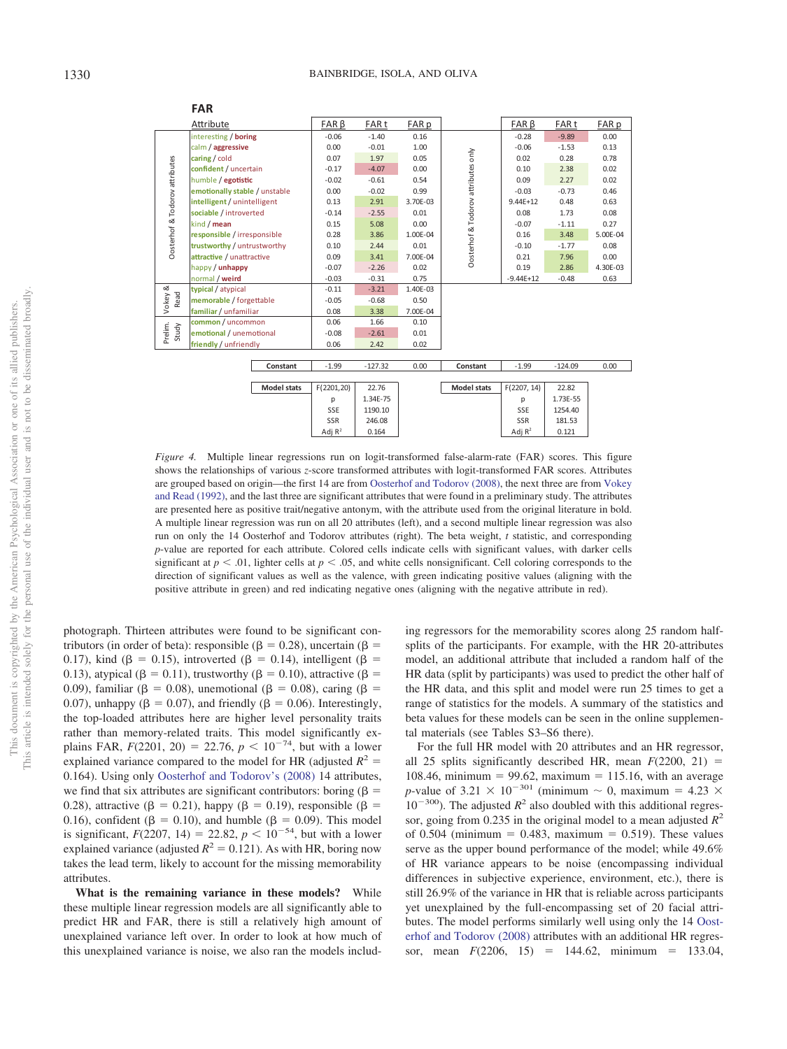|                                | <b>FAR</b>                             |                    |                  |           |          |                                     |                  |           |          |
|--------------------------------|----------------------------------------|--------------------|------------------|-----------|----------|-------------------------------------|------------------|-----------|----------|
| Attribute                      |                                        | $FAR \beta$        | FAR <sub>t</sub> | FAR p     |          | $FAR \beta$                         | FAR <sub>t</sub> | FAR p     |          |
| Oosterhof & Todorov attributes | interesting / boring                   |                    | $-0.06$          | $-1.40$   | 0.16     |                                     | $-0.28$          | $-9.89$   | 0.00     |
|                                | calm / aggressive                      |                    | 0.00             | $-0.01$   | 1.00     |                                     | $-0.06$          | $-1.53$   | 0.13     |
|                                | caring / cold<br>confident / uncertain |                    | 0.07             | 1.97      | 0.05     |                                     | 0.02             | 0.28      | 0.78     |
|                                |                                        |                    | $-0.17$          | $-4.07$   | 0.00     |                                     | 0.10             | 2.38      | 0.02     |
|                                | humble / egotistic                     |                    | $-0.02$          | $-0.61$   | 0.54     |                                     | 0.09             | 2.27      | 0.02     |
|                                | emotionally stable / unstable          |                    | 0.00             | $-0.02$   | 0.99     |                                     | $-0.03$          | $-0.73$   | 0.46     |
|                                | intelligent / unintelligent            |                    | 0.13             | 2.91      | 3.70E-03 |                                     | $9.44E + 12$     | 0.48      | 0.63     |
|                                | sociable / introverted                 |                    | $-0.14$          | $-2.55$   | 0.01     | Dosterhof & Todorov attributes only | 0.08             | 1.73      | 0.08     |
|                                | kind / mean                            |                    | 0.15             | 5.08      | 0.00     |                                     | $-0.07$          | $-1.11$   | 0.27     |
|                                | responsible / irresponsible            |                    | 0.28             | 3.86      | 1.00E-04 |                                     | 0.16             | 3.48      | 5.00E-04 |
|                                | trustworthy / untrustworthy            |                    | 0.10             | 2.44      | 0.01     |                                     | $-0.10$          | $-1.77$   | 0.08     |
|                                | attractive / unattractive              |                    | 0.09             | 3.41      | 7.00E-04 |                                     | 0.21             | 7.96      | 0.00     |
|                                | happy / unhappy                        |                    | $-0.07$          | $-2.26$   | 0.02     |                                     | 0.19             | 2.86      | 4.30E-03 |
|                                | normal / weird                         |                    | $-0.03$          | $-0.31$   | 0.75     |                                     | $-9.44E+12$      | $-0.48$   | 0.63     |
|                                | typical / atypical                     |                    | $-0.11$          | $-3.21$   | 1.40E-03 |                                     |                  |           |          |
| Vokey &<br>Read                | memorable / forgettable                |                    | $-0.05$          | $-0.68$   | 0.50     |                                     |                  |           |          |
|                                | familiar / unfamiliar                  |                    | 0.08             | 3.38      | 7.00E-04 |                                     |                  |           |          |
|                                | common / uncommon                      |                    | 0.06             | 1.66      | 0.10     |                                     |                  |           |          |
| Prelim.<br>Study               | emotional / unemotional                |                    | $-0.08$          | $-2.61$   | 0.01     |                                     |                  |           |          |
|                                | friendly / unfriendly                  |                    | 0.06             | 2.42      | 0.02     |                                     |                  |           |          |
|                                |                                        |                    |                  |           |          |                                     |                  |           |          |
|                                |                                        | Constant           | $-1.99$          | $-127.32$ | 0.00     | Constant                            | $-1.99$          | $-124.09$ | 0.00     |
|                                |                                        |                    |                  |           |          |                                     |                  |           |          |
|                                |                                        | <b>Model stats</b> | F(2201,20)       | 22.76     |          | <b>Model stats</b>                  | F(2207, 14)      | 22.82     |          |
|                                |                                        |                    | p                | 1.34E-75  |          |                                     | p                | 1.73E-55  |          |
|                                |                                        |                    | SSE              | 1190.10   |          |                                     | <b>SSE</b>       | 1254.40   |          |
|                                |                                        |                    | <b>SSR</b>       | 246.08    |          |                                     | SSR              | 181.53    |          |
|                                |                                        |                    | Adj $R^2$        | 0.164     |          |                                     | Adj $R^2$        | 0.121     |          |
|                                |                                        |                    |                  |           |          |                                     |                  |           |          |

*Figure 4.* Multiple linear regressions run on logit-transformed false-alarm-rate (FAR) scores. This figure shows the relationships of various *z*-score transformed attributes with logit-transformed FAR scores. Attributes are grouped based on origin—the first 14 are from [Oosterhof and Todorov \(2008\),](#page-11-3) the next three are from [Vokey](#page-11-2) [and Read \(1992\),](#page-11-2) and the last three are significant attributes that were found in a preliminary study. The attributes are presented here as positive trait/negative antonym, with the attribute used from the original literature in bold. A multiple linear regression was run on all 20 attributes (left), and a second multiple linear regression was also run on only the 14 Oosterhof and Todorov attributes (right). The beta weight, *t* statistic, and corresponding *p*-value are reported for each attribute. Colored cells indicate cells with significant values, with darker cells significant at  $p < .01$ , lighter cells at  $p < .05$ , and white cells nonsignificant. Cell coloring corresponds to the direction of significant values as well as the valence, with green indicating positive values (aligning with the positive attribute in green) and red indicating negative ones (aligning with the negative attribute in red).

photograph. Thirteen attributes were found to be significant contributors (in order of beta): responsible ( $\beta = 0.28$ ), uncertain ( $\beta =$ 0.17), kind ( $\beta = 0.15$ ), introverted ( $\beta = 0.14$ ), intelligent ( $\beta = 0.17$ ) 0.13), atypical ( $\beta = 0.11$ ), trustworthy ( $\beta = 0.10$ ), attractive ( $\beta =$ 0.09), familiar ( $\beta = 0.08$ ), unemotional ( $\beta = 0.08$ ), caring ( $\beta = 0.09$ ) 0.07), unhappy ( $\beta = 0.07$ ), and friendly ( $\beta = 0.06$ ). Interestingly, the top-loaded attributes here are higher level personality traits rather than memory-related traits. This model significantly explains FAR,  $F(2201, 20) = 22.76, p < 10^{-74}$ , but with a lower explained variance compared to the model for HR (adjusted  $R^2$  = 0.164). Using only [Oosterhof and Todorov's \(2008\)](#page-11-3) 14 attributes, we find that six attributes are significant contributors: boring ( $\beta$  = 0.28), attractive ( $\beta = 0.21$ ), happy ( $\beta = 0.19$ ), responsible ( $\beta = 0.28$ ) 0.16), confident ( $\beta = 0.10$ ), and humble ( $\beta = 0.09$ ). This model is significant,  $F(2207, 14) = 22.82, p < 10^{-54}$ , but with a lower explained variance (adjusted  $R^2 = 0.121$ ). As with HR, boring now takes the lead term, likely to account for the missing memorability attributes.

**What is the remaining variance in these models?** While these multiple linear regression models are all significantly able to predict HR and FAR, there is still a relatively high amount of unexplained variance left over. In order to look at how much of this unexplained variance is noise, we also ran the models including regressors for the memorability scores along 25 random halfsplits of the participants. For example, with the HR 20-attributes model, an additional attribute that included a random half of the HR data (split by participants) was used to predict the other half of the HR data, and this split and model were run 25 times to get a range of statistics for the models. A summary of the statistics and beta values for these models can be seen in the online supplemental materials (see Tables S3–S6 there).

For the full HR model with 20 attributes and an HR regressor, all 25 splits significantly described HR, mean  $F(2200, 21)$  = 108.46, minimum =  $99.62$ , maximum = 115.16, with an average *p*-value of 3.21  $\times$  10<sup>-301</sup> (minimum  $\sim$  0, maximum = 4.23  $\times$  $10^{-300}$ ). The adjusted  $R^2$  also doubled with this additional regressor, going from 0.235 in the original model to a mean adjusted  $R^2$ of 0.504 (minimum =  $0.483$ , maximum = 0.519). These values serve as the upper bound performance of the model; while 49.6% of HR variance appears to be noise (encompassing individual differences in subjective experience, environment, etc.), there is still 26.9% of the variance in HR that is reliable across participants yet unexplained by the full-encompassing set of 20 facial attributes. The model performs similarly well using only the 14 [Oost](#page-11-3)[erhof and Todorov \(2008\)](#page-11-3) attributes with an additional HR regressor, mean  $F(2206, 15) = 144.62$ , minimum = 133.04,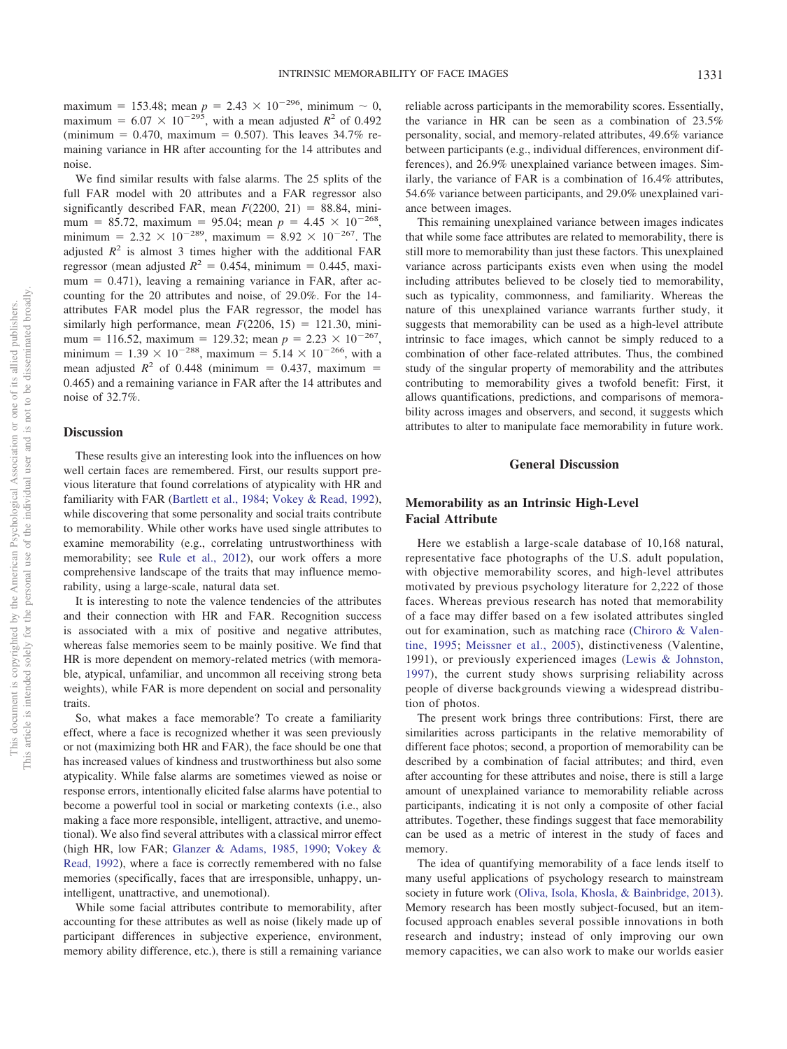maximum = 153.48; mean  $p = 2.43 \times 10^{-296}$ , minimum  $\sim 0$ , maximum =  $6.07 \times 10^{-295}$ , with a mean adjusted  $R^2$  of 0.492  $(\text{minimum} = 0.470, \text{ maximum} = 0.507)$ . This leaves 34.7% remaining variance in HR after accounting for the 14 attributes and noise.

We find similar results with false alarms. The 25 splits of the full FAR model with 20 attributes and a FAR regressor also significantly described FAR, mean  $F(2200, 21) = 88.84$ , minimum = 85.72, maximum = 95.04; mean  $p = 4.45 \times 10^{-268}$ , minimum =  $2.32 \times 10^{-289}$ , maximum =  $8.92 \times 10^{-267}$ . The adjusted  $R^2$  is almost 3 times higher with the additional FAR regressor (mean adjusted  $R^2 = 0.454$ , minimum = 0.445, maximum = 0.471), leaving a remaining variance in FAR, after accounting for the 20 attributes and noise, of 29.0%. For the 14 attributes FAR model plus the FAR regressor, the model has similarly high performance, mean  $F(2206, 15) = 121.30$ , minimum = 116.52, maximum = 129.32; mean  $p = 2.23 \times 10^{-267}$ , minimum =  $1.39 \times 10^{-288}$ , maximum =  $5.14 \times 10^{-266}$ , with a mean adjusted  $R^2$  of 0.448 (minimum = 0.437, maximum = 0.465) and a remaining variance in FAR after the 14 attributes and noise of 32.7%.

#### **Discussion**

These results give an interesting look into the influences on how well certain faces are remembered. First, our results support previous literature that found correlations of atypicality with HR and familiarity with FAR [\(Bartlett et al., 1984;](#page-10-6) [Vokey & Read, 1992\)](#page-11-2), while discovering that some personality and social traits contribute to memorability. While other works have used single attributes to examine memorability (e.g., correlating untrustworthiness with memorability; see [Rule et al., 2012\)](#page-11-6), our work offers a more comprehensive landscape of the traits that may influence memorability, using a large-scale, natural data set.

It is interesting to note the valence tendencies of the attributes and their connection with HR and FAR. Recognition success is associated with a mix of positive and negative attributes, whereas false memories seem to be mainly positive. We find that HR is more dependent on memory-related metrics (with memorable, atypical, unfamiliar, and uncommon all receiving strong beta weights), while FAR is more dependent on social and personality traits.

So, what makes a face memorable? To create a familiarity effect, where a face is recognized whether it was seen previously or not (maximizing both HR and FAR), the face should be one that has increased values of kindness and trustworthiness but also some atypicality. While false alarms are sometimes viewed as noise or response errors, intentionally elicited false alarms have potential to become a powerful tool in social or marketing contexts (i.e., also making a face more responsible, intelligent, attractive, and unemotional). We also find several attributes with a classical mirror effect (high HR, low FAR; [Glanzer & Adams, 1985,](#page-10-27) [1990;](#page-10-28) [Vokey &](#page-11-2) [Read, 1992\)](#page-11-2), where a face is correctly remembered with no false memories (specifically, faces that are irresponsible, unhappy, unintelligent, unattractive, and unemotional).

While some facial attributes contribute to memorability, after accounting for these attributes as well as noise (likely made up of participant differences in subjective experience, environment, memory ability difference, etc.), there is still a remaining variance

reliable across participants in the memorability scores. Essentially, the variance in HR can be seen as a combination of 23.5% personality, social, and memory-related attributes, 49.6% variance between participants (e.g., individual differences, environment differences), and 26.9% unexplained variance between images. Similarly, the variance of FAR is a combination of 16.4% attributes, 54.6% variance between participants, and 29.0% unexplained variance between images.

This remaining unexplained variance between images indicates that while some face attributes are related to memorability, there is still more to memorability than just these factors. This unexplained variance across participants exists even when using the model including attributes believed to be closely tied to memorability, such as typicality, commonness, and familiarity. Whereas the nature of this unexplained variance warrants further study, it suggests that memorability can be used as a high-level attribute intrinsic to face images, which cannot be simply reduced to a combination of other face-related attributes. Thus, the combined study of the singular property of memorability and the attributes contributing to memorability gives a twofold benefit: First, it allows quantifications, predictions, and comparisons of memorability across images and observers, and second, it suggests which attributes to alter to manipulate face memorability in future work.

## **General Discussion**

# **Memorability as an Intrinsic High-Level Facial Attribute**

Here we establish a large-scale database of 10,168 natural, representative face photographs of the U.S. adult population, with objective memorability scores, and high-level attributes motivated by previous psychology literature for 2,222 of those faces. Whereas previous research has noted that memorability of a face may differ based on a few isolated attributes singled out for examination, such as matching race [\(Chiroro & Valen](#page-10-0)[tine, 1995;](#page-10-0) [Meissner et al., 2005\)](#page-11-24), distinctiveness (Valentine, 1991), or previously experienced images [\(Lewis & Johnston,](#page-11-23) [1997\)](#page-11-23), the current study shows surprising reliability across people of diverse backgrounds viewing a widespread distribution of photos.

The present work brings three contributions: First, there are similarities across participants in the relative memorability of different face photos; second, a proportion of memorability can be described by a combination of facial attributes; and third, even after accounting for these attributes and noise, there is still a large amount of unexplained variance to memorability reliable across participants, indicating it is not only a composite of other facial attributes. Together, these findings suggest that face memorability can be used as a metric of interest in the study of faces and memory.

The idea of quantifying memorability of a face lends itself to many useful applications of psychology research to mainstream society in future work [\(Oliva, Isola, Khosla, & Bainbridge, 2013\)](#page-11-27). Memory research has been mostly subject-focused, but an itemfocused approach enables several possible innovations in both research and industry; instead of only improving our own memory capacities, we can also work to make our worlds easier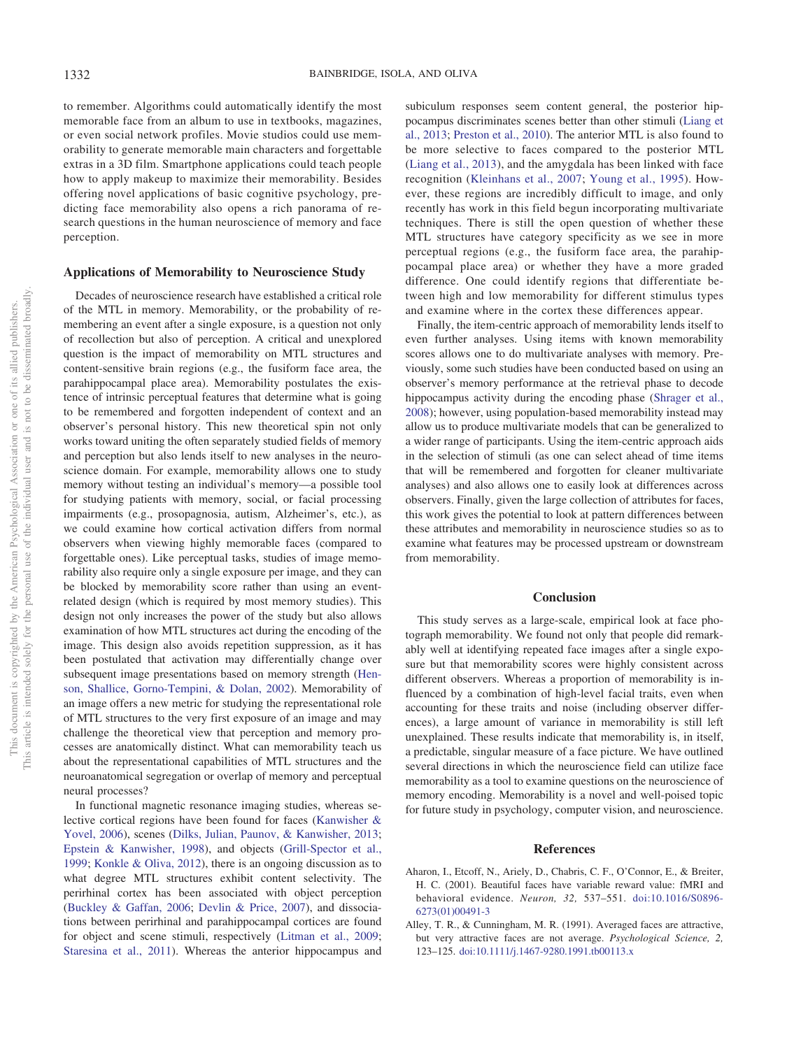<span id="page-9-0"></span>to remember. Algorithms could automatically identify the most memorable face from an album to use in textbooks, magazines, or even social network profiles. Movie studios could use memorability to generate memorable main characters and forgettable extras in a 3D film. Smartphone applications could teach people how to apply makeup to maximize their memorability. Besides offering novel applications of basic cognitive psychology, predicting face memorability also opens a rich panorama of research questions in the human neuroscience of memory and face perception.

### **Applications of Memorability to Neuroscience Study**

Decades of neuroscience research have established a critical role of the MTL in memory. Memorability, or the probability of remembering an event after a single exposure, is a question not only of recollection but also of perception. A critical and unexplored question is the impact of memorability on MTL structures and content-sensitive brain regions (e.g., the fusiform face area, the parahippocampal place area). Memorability postulates the existence of intrinsic perceptual features that determine what is going to be remembered and forgotten independent of context and an observer's personal history. This new theoretical spin not only works toward uniting the often separately studied fields of memory and perception but also lends itself to new analyses in the neuroscience domain. For example, memorability allows one to study memory without testing an individual's memory—a possible tool for studying patients with memory, social, or facial processing impairments (e.g., prosopagnosia, autism, Alzheimer's, etc.), as we could examine how cortical activation differs from normal observers when viewing highly memorable faces (compared to forgettable ones). Like perceptual tasks, studies of image memorability also require only a single exposure per image, and they can be blocked by memorability score rather than using an eventrelated design (which is required by most memory studies). This design not only increases the power of the study but also allows examination of how MTL structures act during the encoding of the image. This design also avoids repetition suppression, as it has been postulated that activation may differentially change over subsequent image presentations based on memory strength [\(Hen](#page-10-31)[son, Shallice, Gorno-Tempini, & Dolan, 2002\)](#page-10-31). Memorability of an image offers a new metric for studying the representational role of MTL structures to the very first exposure of an image and may challenge the theoretical view that perception and memory processes are anatomically distinct. What can memorability teach us about the representational capabilities of MTL structures and the neuroanatomical segregation or overlap of memory and perceptual neural processes?

In functional magnetic resonance imaging studies, whereas selective cortical regions have been found for faces [\(Kanwisher &](#page-10-32) [Yovel, 2006\)](#page-10-32), scenes [\(Dilks, Julian, Paunov, & Kanwisher, 2013;](#page-10-33) [Epstein & Kanwisher, 1998\)](#page-10-34), and objects [\(Grill-Spector et al.,](#page-10-35) [1999;](#page-10-35) [Konkle & Oliva, 2012\)](#page-10-36), there is an ongoing discussion as to what degree MTL structures exhibit content selectivity. The perirhinal cortex has been associated with object perception [\(Buckley & Gaffan, 2006;](#page-10-17) [Devlin & Price, 2007\)](#page-10-21), and dissociations between perirhinal and parahippocampal cortices are found for object and scene stimuli, respectively [\(Litman et al., 2009;](#page-11-19) [Staresina et al., 2011\)](#page-11-17). Whereas the anterior hippocampus and

subiculum responses seem content general, the posterior hippocampus discriminates scenes better than other stimuli [\(Liang et](#page-11-18) [al., 2013;](#page-11-18) [Preston et al., 2010\)](#page-11-20). The anterior MTL is also found to be more selective to faces compared to the posterior MTL [\(Liang et al., 2013\)](#page-11-18), and the amygdala has been linked with face recognition [\(Kleinhans et al., 2007;](#page-10-13) [Young et al., 1995\)](#page-11-28). However, these regions are incredibly difficult to image, and only recently has work in this field begun incorporating multivariate techniques. There is still the open question of whether these MTL structures have category specificity as we see in more perceptual regions (e.g., the fusiform face area, the parahippocampal place area) or whether they have a more graded difference. One could identify regions that differentiate between high and low memorability for different stimulus types and examine where in the cortex these differences appear.

Finally, the item-centric approach of memorability lends itself to even further analyses. Using items with known memorability scores allows one to do multivariate analyses with memory. Previously, some such studies have been conducted based on using an observer's memory performance at the retrieval phase to decode hippocampus activity during the encoding phase [\(Shrager et al.,](#page-11-10) [2008\)](#page-11-10); however, using population-based memorability instead may allow us to produce multivariate models that can be generalized to a wider range of participants. Using the item-centric approach aids in the selection of stimuli (as one can select ahead of time items that will be remembered and forgotten for cleaner multivariate analyses) and also allows one to easily look at differences across observers. Finally, given the large collection of attributes for faces, this work gives the potential to look at pattern differences between these attributes and memorability in neuroscience studies so as to examine what features may be processed upstream or downstream from memorability.

## **Conclusion**

This study serves as a large-scale, empirical look at face photograph memorability. We found not only that people did remarkably well at identifying repeated face images after a single exposure but that memorability scores were highly consistent across different observers. Whereas a proportion of memorability is influenced by a combination of high-level facial traits, even when accounting for these traits and noise (including observer differences), a large amount of variance in memorability is still left unexplained. These results indicate that memorability is, in itself, a predictable, singular measure of a face picture. We have outlined several directions in which the neuroscience field can utilize face memorability as a tool to examine questions on the neuroscience of memory encoding. Memorability is a novel and well-poised topic for future study in psychology, computer vision, and neuroscience.

#### **References**

- <span id="page-9-1"></span>Aharon, I., Etcoff, N., Ariely, D., Chabris, C. F., O'Connor, E., & Breiter, H. C. (2001). Beautiful faces have variable reward value: fMRI and behavioral evidence. *Neuron, 32,* 537–551. [doi:10.1016/S0896-](http://dx.doi.org/10.1016/S0896-6273%2801%2900491-3) [6273\(01\)00491-3](http://dx.doi.org/10.1016/S0896-6273%2801%2900491-3)
- <span id="page-9-2"></span>Alley, T. R., & Cunningham, M. R. (1991). Averaged faces are attractive, but very attractive faces are not average. *Psychological Science, 2,* 123–125. [doi:10.1111/j.1467-9280.1991.tb00113.x](http://dx.doi.org/10.1111/j.1467-9280.1991.tb00113.x)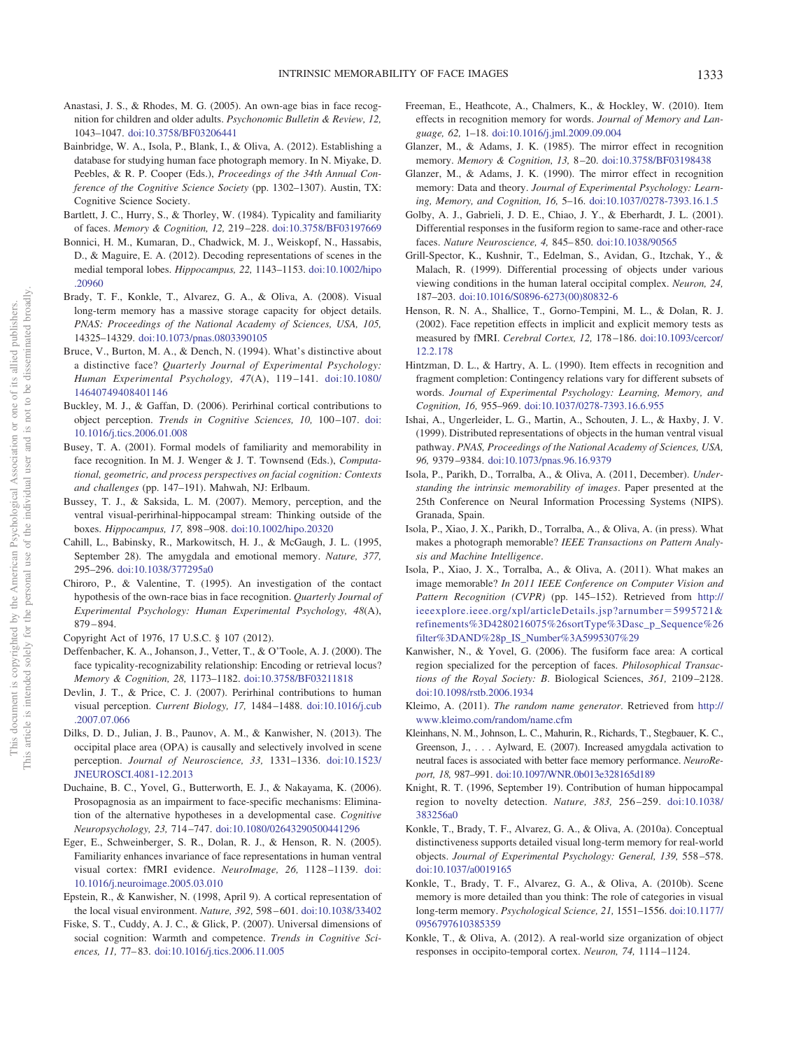- <span id="page-10-30"></span>Anastasi, J. S., & Rhodes, M. G. (2005). An own-age bias in face recognition for children and older adults. *Psychonomic Bulletin & Review, 12,* 1043–1047. [doi:10.3758/BF03206441](http://dx.doi.org/10.3758/BF03206441)
- <span id="page-10-9"></span>Bainbridge, W. A., Isola, P., Blank, I., & Oliva, A. (2012). Establishing a database for studying human face photograph memory. In N. Miyake, D. Peebles, & R. P. Cooper (Eds.), *Proceedings of the 34th Annual Conference of the Cognitive Science Society* (pp. 1302–1307). Austin, TX: Cognitive Science Society.
- <span id="page-10-6"></span>Bartlett, J. C., Hurry, S., & Thorley, W. (1984). Typicality and familiarity of faces. *Memory & Cognition, 12,* 219 –228. [doi:10.3758/BF03197669](http://dx.doi.org/10.3758/BF03197669)
- <span id="page-10-16"></span>Bonnici, H. M., Kumaran, D., Chadwick, M. J., Weiskopf, N., Hassabis, D., & Maguire, E. A. (2012). Decoding representations of scenes in the medial temporal lobes. *Hippocampus, 22,* 1143–1153. [doi:10.1002/hipo](http://dx.doi.org/10.1002/hipo.20960) [.20960](http://dx.doi.org/10.1002/hipo.20960)
- <span id="page-10-2"></span>Brady, T. F., Konkle, T., Alvarez, G. A., & Oliva, A. (2008). Visual long-term memory has a massive storage capacity for object details. *PNAS: Proceedings of the National Academy of Sciences, USA, 105,* 14325–14329. [doi:10.1073/pnas.0803390105](http://dx.doi.org/10.1073/pnas.0803390105)
- <span id="page-10-7"></span>Bruce, V., Burton, M. A., & Dench, N. (1994). What's distinctive about a distinctive face? *Quarterly Journal of Experimental Psychology: Human Experimental Psychology, 47*(A), 119 –141. [doi:10.1080/](http://dx.doi.org/10.1080/14640749408401146) [14640749408401146](http://dx.doi.org/10.1080/14640749408401146)
- <span id="page-10-17"></span>Buckley, M. J., & Gaffan, D. (2006). Perirhinal cortical contributions to object perception. *Trends in Cognitive Sciences, 10,* 100 –107. [doi:](http://dx.doi.org/10.1016/j.tics.2006.01.008) [10.1016/j.tics.2006.01.008](http://dx.doi.org/10.1016/j.tics.2006.01.008)
- <span id="page-10-8"></span>Busey, T. A. (2001). Formal models of familiarity and memorability in face recognition. In M. J. Wenger & J. T. Townsend (Eds.), *Computational, geometric, and process perspectives on facial cognition: Contexts and challenges* (pp. 147–191). Mahwah, NJ: Erlbaum.
- <span id="page-10-14"></span>Bussey, T. J., & Saksida, L. M. (2007). Memory, perception, and the ventral visual-perirhinal-hippocampal stream: Thinking outside of the boxes. *Hippocampus, 17,* 898 –908. [doi:10.1002/hipo.20320](http://dx.doi.org/10.1002/hipo.20320)
- <span id="page-10-12"></span>Cahill, L., Babinsky, R., Markowitsch, H. J., & McGaugh, J. L. (1995, September 28). The amygdala and emotional memory. *Nature, 377,* 295–296. [doi:10.1038/377295a0](http://dx.doi.org/10.1038/377295a0)
- <span id="page-10-0"></span>Chiroro, P., & Valentine, T. (1995). An investigation of the contact hypothesis of the own-race bias in face recognition. *Quarterly Journal of Experimental Psychology: Human Experimental Psychology, 48*(A), 879 – 894.
- <span id="page-10-29"></span><span id="page-10-25"></span>Copyright Act of 1976, 17 U.S.C. § 107 (2012).
- Deffenbacher, K. A., Johanson, J., Vetter, T., & O'Toole, A. J. (2000). The face typicality-recognizability relationship: Encoding or retrieval locus? *Memory & Cognition, 28,* 1173–1182. [doi:10.3758/BF03211818](http://dx.doi.org/10.3758/BF03211818)
- <span id="page-10-21"></span>Devlin, J. T., & Price, C. J. (2007). Perirhinal contributions to human visual perception. *Current Biology, 17,* 1484 –1488. [doi:10.1016/j.cub](http://dx.doi.org/10.1016/j.cub.2007.07.066) [.2007.07.066](http://dx.doi.org/10.1016/j.cub.2007.07.066)
- <span id="page-10-33"></span>Dilks, D. D., Julian, J. B., Paunov, A. M., & Kanwisher, N. (2013). The occipital place area (OPA) is causally and selectively involved in scene perception. *Journal of Neuroscience, 33,* 1331–1336. [doi:10.1523/](http://dx.doi.org/10.1523/JNEUROSCI.4081-12.2013) [JNEUROSCI.4081-12.2013](http://dx.doi.org/10.1523/JNEUROSCI.4081-12.2013)
- <span id="page-10-1"></span>Duchaine, B. C., Yovel, G., Butterworth, E. J., & Nakayama, K. (2006). Prosopagnosia as an impairment to face-specific mechanisms: Elimination of the alternative hypotheses in a developmental case. *Cognitive Neuropsychology, 23,* 714 –747. [doi:10.1080/02643290500441296](http://dx.doi.org/10.1080/02643290500441296)
- <span id="page-10-20"></span>Eger, E., Schweinberger, S. R., Dolan, R. J., & Henson, R. N. (2005). Familiarity enhances invariance of face representations in human ventral visual cortex: fMRI evidence. *NeuroImage, 26,* 1128 –1139. [doi:](http://dx.doi.org/10.1016/j.neuroimage.2005.03.010) [10.1016/j.neuroimage.2005.03.010](http://dx.doi.org/10.1016/j.neuroimage.2005.03.010)
- <span id="page-10-34"></span>Epstein, R., & Kanwisher, N. (1998, April 9). A cortical representation of the local visual environment. *Nature, 392,* 598 – 601. [doi:10.1038/33402](http://dx.doi.org/10.1038/33402)
- <span id="page-10-11"></span>Fiske, S. T., Cuddy, A. J. C., & Glick, P. (2007). Universal dimensions of social cognition: Warmth and competence. *Trends in Cognitive Sciences, 11,* 77– 83. [doi:10.1016/j.tics.2006.11.005](http://dx.doi.org/10.1016/j.tics.2006.11.005)
- <span id="page-10-22"></span>Freeman, E., Heathcote, A., Chalmers, K., & Hockley, W. (2010). Item effects in recognition memory for words. *Journal of Memory and Language, 62,* 1–18. [doi:10.1016/j.jml.2009.09.004](http://dx.doi.org/10.1016/j.jml.2009.09.004)
- <span id="page-10-27"></span>Glanzer, M., & Adams, J. K. (1985). The mirror effect in recognition memory. *Memory & Cognition, 13,* 8 –20. [doi:10.3758/BF03198438](http://dx.doi.org/10.3758/BF03198438)
- <span id="page-10-28"></span>Glanzer, M., & Adams, J. K. (1990). The mirror effect in recognition memory: Data and theory. *Journal of Experimental Psychology: Learning, Memory, and Cognition, 16,* 5–16. [doi:10.1037/0278-7393.16.1.5](http://dx.doi.org/10.1037/0278-7393.16.1.5)
- <span id="page-10-19"></span>Golby, A. J., Gabrieli, J. D. E., Chiao, J. Y., & Eberhardt, J. L. (2001). Differential responses in the fusiform region to same-race and other-race faces. *Nature Neuroscience, 4,* 845– 850. [doi:10.1038/90565](http://dx.doi.org/10.1038/90565)
- <span id="page-10-35"></span>Grill-Spector, K., Kushnir, T., Edelman, S., Avidan, G., Itzchak, Y., & Malach, R. (1999). Differential processing of objects under various viewing conditions in the human lateral occipital complex. *Neuron, 24,* 187–203. [doi:10.1016/S0896-6273\(00\)80832-6](http://dx.doi.org/10.1016/S0896-6273%2800%2980832-6)
- <span id="page-10-31"></span>Henson, R. N. A., Shallice, T., Gorno-Tempini, M. L., & Dolan, R. J. (2002). Face repetition effects in implicit and explicit memory tests as measured by fMRI. *Cerebral Cortex, 12,* 178 –186. [doi:10.1093/cercor/](http://dx.doi.org/10.1093/cercor/12.2.178) [12.2.178](http://dx.doi.org/10.1093/cercor/12.2.178)
- <span id="page-10-23"></span>Hintzman, D. L., & Hartry, A. L. (1990). Item effects in recognition and fragment completion: Contingency relations vary for different subsets of words. *Journal of Experimental Psychology: Learning, Memory, and Cognition, 16,* 955–969. [doi:10.1037/0278-7393.16.6.955](http://dx.doi.org/10.1037/0278-7393.16.6.955)
- <span id="page-10-15"></span>Ishai, A., Ungerleider, L. G., Martin, A., Schouten, J. L., & Haxby, J. V. (1999). Distributed representations of objects in the human ventral visual pathway. *PNAS, Proceedings of the National Academy of Sciences, USA, 96,* 9379 –9384. [doi:10.1073/pnas.96.16.9379](http://dx.doi.org/10.1073/pnas.96.16.9379)
- <span id="page-10-10"></span>Isola, P., Parikh, D., Torralba, A., & Oliva, A. (2011, December). *Understanding the intrinsic memorability of images*. Paper presented at the 25th Conference on Neural Information Processing Systems (NIPS). Granada, Spain.
- <span id="page-10-26"></span>Isola, P., Xiao, J. X., Parikh, D., Torralba, A., & Oliva, A. (in press). What makes a photograph memorable? *IEEE Transactions on Pattern Analysis and Machine Intelligence*.
- <span id="page-10-5"></span>Isola, P., Xiao, J. X., Torralba, A., & Oliva, A. (2011). What makes an image memorable? *In 2011 IEEE Conference on Computer Vision and Pattern Recognition (CVPR)* (pp. 145–152). Retrieved from [http://](http://ieeexplore.ieee.org/xpl/articleDetails.jsp?arnumber=5995721%26amp%3Brefinements%3D4280216075%26sortType%3Dasc_p_Sequence%26filter%3DAND%28p_IS_Number%3A5995307%29) [ieeexplore.ieee.org/xpl/articleDetails.jsp?arnumber](http://ieeexplore.ieee.org/xpl/articleDetails.jsp?arnumber=5995721%26amp%3Brefinements%3D4280216075%26sortType%3Dasc_p_Sequence%26filter%3DAND%28p_IS_Number%3A5995307%29)=5995721& [refinements%3D4280216075%26sortType%3Dasc\\_p\\_Sequence%26](http://ieeexplore.ieee.org/xpl/articleDetails.jsp?arnumber=5995721%26amp%3Brefinements%3D4280216075%26sortType%3Dasc_p_Sequence%26filter%3DAND%28p_IS_Number%3A5995307%29) [filter%3DAND%28p\\_IS\\_Number%3A5995307%29](http://ieeexplore.ieee.org/xpl/articleDetails.jsp?arnumber=5995721%26amp%3Brefinements%3D4280216075%26sortType%3Dasc_p_Sequence%26filter%3DAND%28p_IS_Number%3A5995307%29)
- <span id="page-10-32"></span>Kanwisher, N., & Yovel, G. (2006). The fusiform face area: A cortical region specialized for the perception of faces. *Philosophical Transactions of the Royal Society: B*. Biological Sciences, *361,* 2109 –2128. [doi:10.1098/rstb.2006.1934](http://dx.doi.org/10.1098/rstb.2006.1934)
- <span id="page-10-24"></span>Kleimo, A. (2011). *The random name generator*. Retrieved from [http://](http://www.kleimo.com/random/name.cfm) [www.kleimo.com/random/name.cfm](http://www.kleimo.com/random/name.cfm)
- <span id="page-10-13"></span>Kleinhans, N. M., Johnson, L. C., Mahurin, R., Richards, T., Stegbauer, K. C., Greenson, J.,... Aylward, E. (2007). Increased amygdala activation to neutral faces is associated with better face memory performance. *NeuroReport, 18,* 987–991. [doi:10.1097/WNR.0b013e328165d189](http://dx.doi.org/10.1097/WNR.0b013e328165d189)
- <span id="page-10-18"></span>Knight, R. T. (1996, September 19). Contribution of human hippocampal region to novelty detection. *Nature, 383,* 256 –259. [doi:10.1038/](http://dx.doi.org/10.1038/383256a0) [383256a0](http://dx.doi.org/10.1038/383256a0)
- <span id="page-10-3"></span>Konkle, T., Brady, T. F., Alvarez, G. A., & Oliva, A. (2010a). Conceptual distinctiveness supports detailed visual long-term memory for real-world objects. *Journal of Experimental Psychology: General, 139,* 558 –578. [doi:10.1037/a0019165](http://dx.doi.org/10.1037/a0019165)
- <span id="page-10-4"></span>Konkle, T., Brady, T. F., Alvarez, G. A., & Oliva, A. (2010b). Scene memory is more detailed than you think: The role of categories in visual long-term memory. *Psychological Science, 21,* 1551–1556. [doi:10.1177/](http://dx.doi.org/10.1177/0956797610385359) [0956797610385359](http://dx.doi.org/10.1177/0956797610385359)
- <span id="page-10-36"></span>Konkle, T., & Oliva, A. (2012). A real-world size organization of object responses in occipito-temporal cortex. *Neuron, 74,* 1114 –1124.